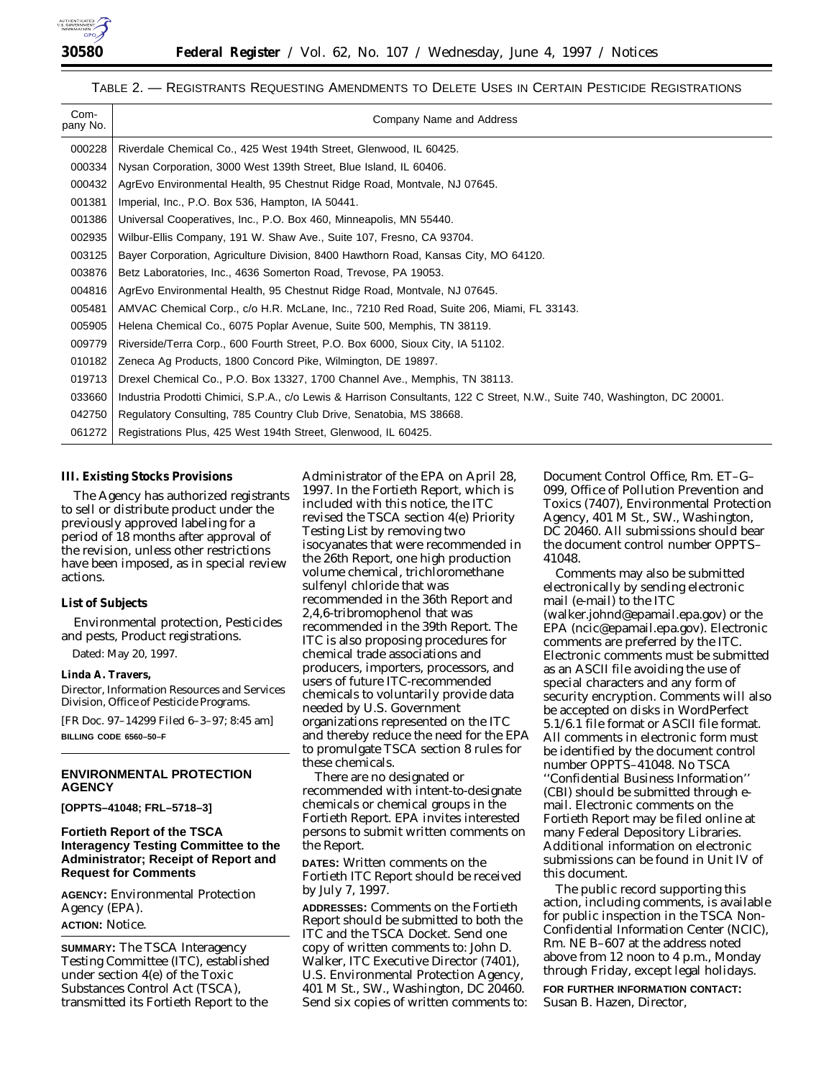

## TABLE 2. — REGISTRANTS REQUESTING AMENDMENTS TO DELETE USES IN CERTAIN PESTICIDE REGISTRATIONS

| Com-<br>pany No. | Company Name and Address                                                                                                   |
|------------------|----------------------------------------------------------------------------------------------------------------------------|
| 000228           | Riverdale Chemical Co., 425 West 194th Street, Glenwood, IL 60425.                                                         |
| 000334           | Nysan Corporation, 3000 West 139th Street, Blue Island, IL 60406.                                                          |
| 000432           | AgrEvo Environmental Health, 95 Chestnut Ridge Road, Montvale, NJ 07645.                                                   |
| 001381           | Imperial, Inc., P.O. Box 536, Hampton, IA 50441.                                                                           |
| 001386           | Universal Cooperatives, Inc., P.O. Box 460, Minneapolis, MN 55440.                                                         |
| 002935           | Wilbur-Ellis Company, 191 W. Shaw Ave., Suite 107, Fresno, CA 93704.                                                       |
| 003125           | Bayer Corporation, Agriculture Division, 8400 Hawthorn Road, Kansas City, MO 64120.                                        |
| 003876           | Betz Laboratories, Inc., 4636 Somerton Road, Trevose, PA 19053.                                                            |
| 004816           | AgrEvo Environmental Health, 95 Chestnut Ridge Road, Montvale, NJ 07645.                                                   |
| 005481           | AMVAC Chemical Corp., c/o H.R. McLane, Inc., 7210 Red Road, Suite 206, Miami, FL 33143.                                    |
| 005905           | Helena Chemical Co., 6075 Poplar Avenue, Suite 500, Memphis, TN 38119.                                                     |
| 009779           | Riverside/Terra Corp., 600 Fourth Street, P.O. Box 6000, Sioux City, IA 51102.                                             |
| 010182           | Zeneca Ag Products, 1800 Concord Pike, Wilmington, DE 19897.                                                               |
| 019713           | Drexel Chemical Co., P.O. Box 13327, 1700 Channel Ave., Memphis, TN 38113.                                                 |
| 033660           | Industria Prodotti Chimici, S.P.A., c/o Lewis & Harrison Consultants, 122 C Street, N.W., Suite 740, Washington, DC 20001. |
| 042750           | Regulatory Consulting, 785 Country Club Drive, Senatobia, MS 38668.                                                        |
| 061272           | Registrations Plus, 425 West 194th Street, Glenwood, IL 60425.                                                             |

#### **III. Existing Stocks Provisions**

The Agency has authorized registrants to sell or distribute product under the previously approved labeling for a period of 18 months after approval of the revision, unless other restrictions have been imposed, as in special review actions.

#### **List of Subjects**

Environmental protection, Pesticides and pests, Product registrations.

Dated: May 20, 1997.

## **Linda A. Travers,**

*Director, Information Resources and Services Division, Office of Pesticide Programs.*

[FR Doc. 97–14299 Filed 6–3–97; 8:45 am] **BILLING CODE 6560–50–F**

# **ENVIRONMENTAL PROTECTION AGENCY**

**[OPPTS–41048; FRL–5718–3]**

# **Fortieth Report of the TSCA Interagency Testing Committee to the Administrator; Receipt of Report and Request for Comments**

**AGENCY:** Environmental Protection Agency (EPA). **ACTION:** Notice.

**SUMMARY:** The TSCA Interagency Testing Committee (ITC), established under section 4(e) of the Toxic Substances Control Act (TSCA), transmitted its Fortieth Report to the

Administrator of the EPA on April 28, 1997. In the Fortieth Report, which is included with this notice, the ITC revised the TSCA section 4(e) *Priority Testing List* by removing two isocyanates that were recommended in the 26th Report, one high production volume chemical, trichloromethane sulfenyl chloride that was recommended in the 36th Report and 2,4,6-tribromophenol that was recommended in the 39th Report. The ITC is also proposing procedures for chemical trade associations and producers, importers, processors, and users of future ITC-recommended chemicals to voluntarily provide data needed by U.S. Government organizations represented on the ITC and thereby reduce the need for the EPA to promulgate TSCA section 8 rules for these chemicals.

There are no designated or recommended with intent-to-designate chemicals or chemical groups in the Fortieth Report. EPA invites interested persons to submit written comments on the Report.

**DATES:** Written comments on the Fortieth ITC Report should be received by July 7, 1997.

**ADDRESSES:** Comments on the Fortieth Report should be submitted to both the ITC and the TSCA Docket. Send one copy of written comments to: John D. Walker, ITC Executive Director (7401), U.S. Environmental Protection Agency, 401 M St., SW., Washington, DC 20460. Send six copies of written comments to: Document Control Office, Rm. ET–G– 099, Office of Pollution Prevention and Toxics (7407), Environmental Protection Agency, 401 M St., SW., Washington, DC 20460. All submissions should bear the document control number OPPTS– 41048.

Comments may also be submitted electronically by sending electronic mail (e-mail) to the ITC (walker.johnd@epamail.epa.gov) or the EPA (ncic@epamail.epa.gov). Electronic comments are preferred by the ITC. Electronic comments must be submitted as an ASCII file avoiding the use of special characters and any form of security encryption. Comments will also be accepted on disks in WordPerfect 5.1/6.1 file format or ASCII file format. All comments in electronic form must be identified by the document control number OPPTS–41048. No TSCA ''Confidential Business Information'' (CBI) should be submitted through email. Electronic comments on the Fortieth Report may be filed online at many Federal Depository Libraries. Additional information on electronic submissions can be found in Unit IV of this document.

The public record supporting this action, including comments, is available for public inspection in the TSCA Non-Confidential Information Center (NCIC), Rm. NE B–607 at the address noted above from 12 noon to 4 p.m., Monday through Friday, except legal holidays.

**FOR FURTHER INFORMATION CONTACT:** Susan B. Hazen, Director,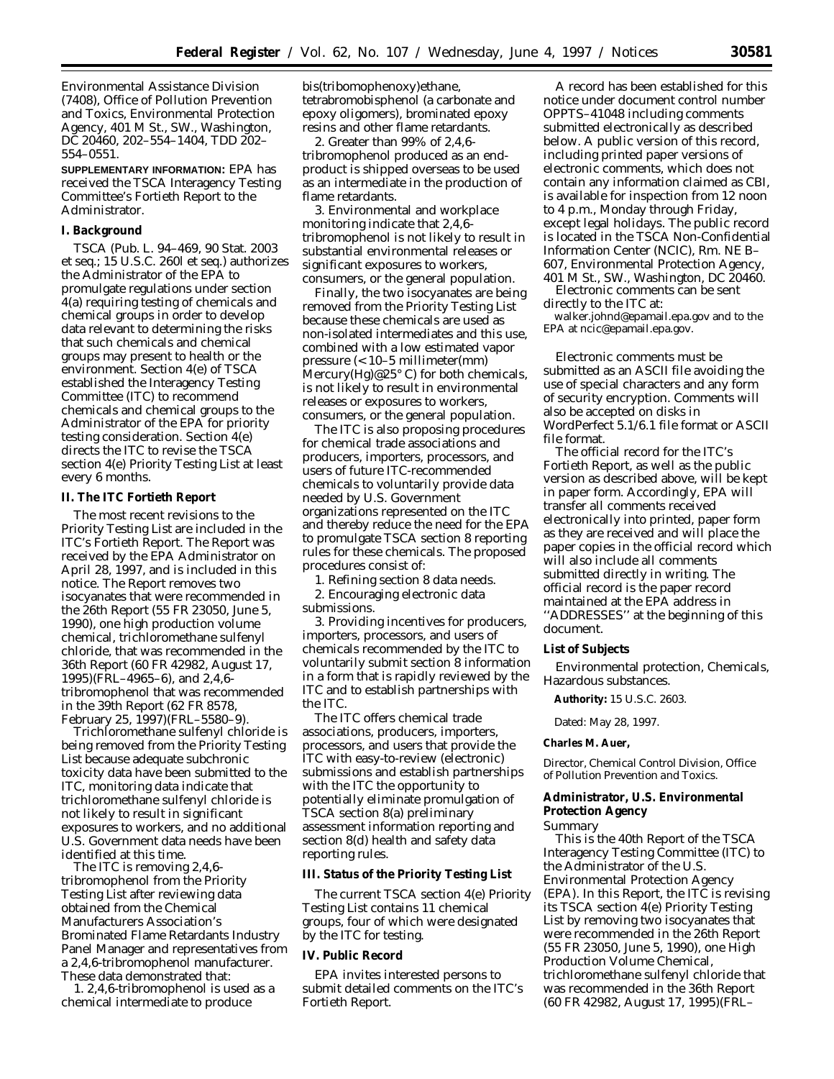Environmental Assistance Division (7408), Office of Pollution Prevention and Toxics, Environmental Protection Agency, 401 M St., SW., Washington, DC 20460, 202–554–1404, TDD 202– 554–0551.

**SUPPLEMENTARY INFORMATION:** EPA has received the TSCA Interagency Testing Committee's Fortieth Report to the Administrator.

#### **I. Background**

TSCA (Pub. L. 94–469, 90 Stat. 2003 *et seq.*; 15 U.S.C. 260l *et seq.*) authorizes the Administrator of the EPA to promulgate regulations under section 4(a) requiring testing of chemicals and chemical groups in order to develop data relevant to determining the risks that such chemicals and chemical groups may present to health or the environment. Section 4(e) of TSCA established the Interagency Testing Committee (ITC) to recommend chemicals and chemical groups to the Administrator of the EPA for priority testing consideration. Section 4(e) directs the ITC to revise the TSCA section 4(e) *Priority Testing List* at least every 6 months.

#### **II. The ITC Fortieth Report**

The most recent revisions to the *Priority Testing List* are included in the ITC's Fortieth Report. The Report was received by the EPA Administrator on April 28, 1997, and is included in this notice. The Report removes two isocyanates that were recommended in the 26th Report (55 FR 23050, June 5, 1990), one high production volume chemical, trichloromethane sulfenyl chloride, that was recommended in the 36th Report (60 FR 42982, August 17, 1995)(FRL–4965–6), and 2,4,6 tribromophenol that was recommended in the 39th Report (62 FR 8578, February 25, 1997)(FRL–5580–9).

Trichloromethane sulfenyl chloride is being removed from the *Priority Testing List* because adequate subchronic toxicity data have been submitted to the ITC, monitoring data indicate that trichloromethane sulfenyl chloride is not likely to result in significant exposures to workers, and no additional U.S. Government data needs have been identified at this time.

The ITC is removing 2,4,6 tribromophenol from the *Priority Testing List* after reviewing data obtained from the Chemical Manufacturers Association's Brominated Flame Retardants Industry Panel Manager and representatives from a 2,4,6-tribromophenol manufacturer. These data demonstrated that:

1. 2,4,6-tribromophenol is used as a chemical intermediate to produce

bis(tribomophenoxy)ethane, tetrabromobisphenol (a carbonate and epoxy oligomers), brominated epoxy resins and other flame retardants.

2. Greater than 99% of 2,4,6 tribromophenol produced as an endproduct is shipped overseas to be used as an intermediate in the production of flame retardants.

3. Environmental and workplace monitoring indicate that 2,4,6 tribromophenol is not likely to result in substantial environmental releases or significant exposures to workers, consumers, or the general population.

Finally, the two isocyanates are being removed from the *Priority Testing List* because these chemicals are used as non-isolated intermediates and this use, combined with a low estimated vapor pressure (< 10–5 millimeter(mm) Mercury(Hg)@25° C) for both chemicals, is not likely to result in environmental releases or exposures to workers, consumers, or the general population.

The ITC is also proposing procedures for chemical trade associations and producers, importers, processors, and users of future ITC-recommended chemicals to voluntarily provide data needed by U.S. Government organizations represented on the ITC and thereby reduce the need for the EPA to promulgate TSCA section 8 reporting rules for these chemicals. The proposed procedures consist of:

1. Refining section 8 data needs. 2. Encouraging electronic data

submissions.

3. Providing incentives for producers, importers, processors, and users of chemicals recommended by the ITC to voluntarily submit section 8 information in a form that is rapidly reviewed by the ITC and to establish partnerships with the ITC.

The ITC offers chemical trade associations, producers, importers, processors, and users that provide the ITC with easy-to-review (electronic) submissions and establish partnerships with the ITC the opportunity to potentially eliminate promulgation of TSCA section 8(a) preliminary assessment information reporting and section 8(d) health and safety data reporting rules.

## **III. Status of the Priority Testing List**

The current TSCA section 4(e) *Priority Testing List* contains 11 chemical groups, four of which were designated by the ITC for testing.

#### **IV. Public Record**

EPA invites interested persons to submit detailed comments on the ITC's Fortieth Report.

A record has been established for this notice under document control number OPPTS–41048 including comments submitted electronically as described below. A public version of this record, including printed paper versions of electronic comments, which does not contain any information claimed as CBI, is available for inspection from 12 noon to 4 p.m., Monday through Friday, except legal holidays. The public record is located in the TSCA Non-Confidential Information Center (NCIC), Rm. NE B– 607, Environmental Protection Agency, 401 M St., SW., Washington, DC 20460.

Electronic comments can be sent directly to the ITC at:

walker.johnd@epamail.epa.gov and to the EPA at ncic@epamail.epa.gov.

Electronic comments must be submitted as an ASCII file avoiding the use of special characters and any form of security encryption. Comments will also be accepted on disks in WordPerfect 5.1/6.1 file format or ASCII file format.

The official record for the ITC's Fortieth Report, as well as the public version as described above, will be kept in paper form. Accordingly, EPA will transfer all comments received electronically into printed, paper form as they are received and will place the paper copies in the official record which will also include all comments submitted directly in writing. The official record is the paper record maintained at the EPA address in ''ADDRESSES'' at the beginning of this document.

## **List of Subjects**

Environmental protection, Chemicals, Hazardous substances.

**Authority:** 15 U.S.C. 2603.

Dated: May 28, 1997.

#### **Charles M. Auer,**

*Director, Chemical Control Division, Office of Pollution Prevention and Toxics.*

# **Administrator, U.S. Environmental**

#### **Protection Agency** *Summary*

This is the 40th Report of the TSCA Interagency Testing Committee (ITC) to the Administrator of the U.S. Environmental Protection Agency (EPA). In this Report, the ITC is revising its TSCA section 4(e) *Priority Testing List* by removing two isocyanates that were recommended in the 26th Report (55 FR 23050, June 5, 1990), one High Production Volume Chemical, trichloromethane sulfenyl chloride that was recommended in the 36th Report (60 FR 42982, August 17, 1995)(FRL–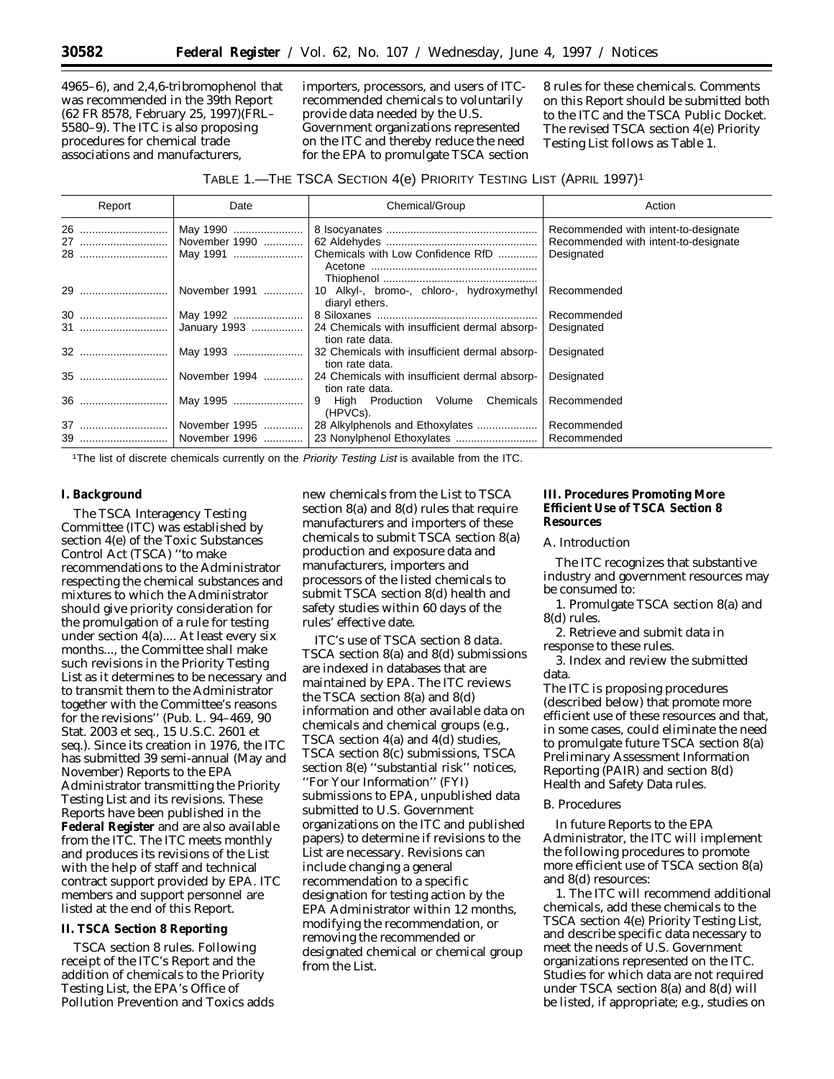4965–6), and 2,4,6-tribromophenol that was recommended in the 39th Report (62 FR 8578, February 25, 1997)(FRL– 5580–9). The ITC is also proposing procedures for chemical trade associations and manufacturers,

importers, processors, and users of ITCrecommended chemicals to voluntarily provide data needed by the U.S. Government organizations represented on the ITC and thereby reduce the need for the EPA to promulgate TSCA section 8 rules for these chemicals. Comments on this Report should be submitted both to the ITC and the TSCA Public Docket. The revised TSCA section 4(e) *Priority Testing List* follows as Table 1.

## TABLE 1.—THE TSCA SECTION 4(e) PRIORITY TESTING LIST (APRIL 1997)1

| Report | Date                | Chemical/Group                                                                         | Action                               |
|--------|---------------------|----------------------------------------------------------------------------------------|--------------------------------------|
|        |                     |                                                                                        | Recommended with intent-to-designate |
|        | 27    November 1990 |                                                                                        | Recommended with intent-to-designate |
|        | 28   May 1991       | Chemicals with Low Confidence RfD                                                      | Designated                           |
|        |                     | 10 Alkyl-, bromo-, chloro-, hydroxymethyl<br>diaryl ethers.                            | Recommended                          |
|        | 30   May 1992       |                                                                                        | Recommended                          |
|        |                     | 31    January 1993    24 Chemicals with insufficient dermal absorp-<br>tion rate data. | Designated                           |
|        |                     | tion rate data.                                                                        | Designated                           |
|        | 35    November 1994 | 24 Chemicals with insufficient dermal absorp-<br>tion rate data.                       | Designated                           |
|        | 36    May 1995      | 9 High Production Volume Chemicals<br>(HPVCs).                                         | Recommended                          |
|        | 37   November 1995  | 28 Alkylphenols and Ethoxylates                                                        | Recommended                          |
|        |                     |                                                                                        | Recommended                          |

<sup>1</sup>The list of discrete chemicals currently on the Priority Testing List is available from the ITC.

## **I. Background**

The TSCA Interagency Testing Committee (ITC) was established by section 4(e) of the Toxic Substances Control Act (TSCA) ''to make recommendations to the Administrator respecting the chemical substances and mixtures to which the Administrator should give priority consideration for the promulgation of a rule for testing under section 4(a).... At least every six months..., the Committee shall make such revisions in the *Priority Testing List* as it determines to be necessary and to transmit them to the Administrator together with the Committee's reasons for the revisions'' (Pub. L. 94–469, 90 Stat. 2003 *et seq.*, 15 U.S.C. 2601 *et seq.*). Since its creation in 1976, the ITC has submitted 39 semi-annual (May and November) Reports to the EPA Administrator transmitting the *Priority Testing List* and its revisions. These Reports have been published in the **Federal Register** and are also available from the ITC. The ITC meets monthly and produces its revisions of the List with the help of staff and technical contract support provided by EPA. ITC members and support personnel are listed at the end of this Report.

#### **II. TSCA Section 8 Reporting**

*TSCA section 8 rules.* Following receipt of the ITC's Report and the addition of chemicals to the *Priority Testing List*, the EPA's Office of Pollution Prevention and Toxics adds

new chemicals from the List to TSCA section 8(a) and 8(d) rules that require manufacturers and importers of these chemicals to submit TSCA section 8(a) production and exposure data and manufacturers, importers and processors of the listed chemicals to submit TSCA section 8(d) health and safety studies within 60 days of the rules' effective date.

*ITC's use of TSCA section 8 data.* TSCA section 8(a) and 8(d) submissions are indexed in databases that are maintained by EPA. The ITC reviews the TSCA section 8(a) and 8(d) information and other available data on chemicals and chemical groups (e.g., TSCA section 4(a) and 4(d) studies, TSCA section 8(c) submissions, TSCA section 8(e) ''substantial risk'' notices, ''For Your Information'' (FYI) submissions to EPA, unpublished data submitted to U.S. Government organizations on the ITC and published papers) to determine if revisions to the *List* are necessary. Revisions can include changing a general recommendation to a specific designation for testing action by the EPA Administrator within 12 months, modifying the recommendation, or removing the recommended or designated chemical or chemical group from the *List*.

## **III. Procedures Promoting More Efficient Use of TSCA Section 8 Resources**

#### *A. Introduction*

The ITC recognizes that substantive industry and government resources may be consumed to:

- 1. Promulgate TSCA section 8(a) and 8(d) rules.
- 2. Retrieve and submit data in response to these rules.

3. Index and review the submitted data.

The ITC is proposing procedures (described below) that promote more efficient use of these resources and that, in some cases, could eliminate the need to promulgate future TSCA section 8(a) Preliminary Assessment Information Reporting (PAIR) and section 8(d) Health and Safety Data rules.

#### *B. Procedures*

In future Reports to the EPA Administrator, the ITC will implement the following procedures to promote more efficient use of TSCA section 8(a) and 8(d) resources:

1. The ITC will recommend additional chemicals, add these chemicals to the TSCA section 4(e) *Priority Testing List*, and describe specific data necessary to meet the needs of U.S. Government organizations represented on the ITC. Studies for which data are not required under TSCA section 8(a) and 8(d) will be listed, if appropriate; e.g., studies on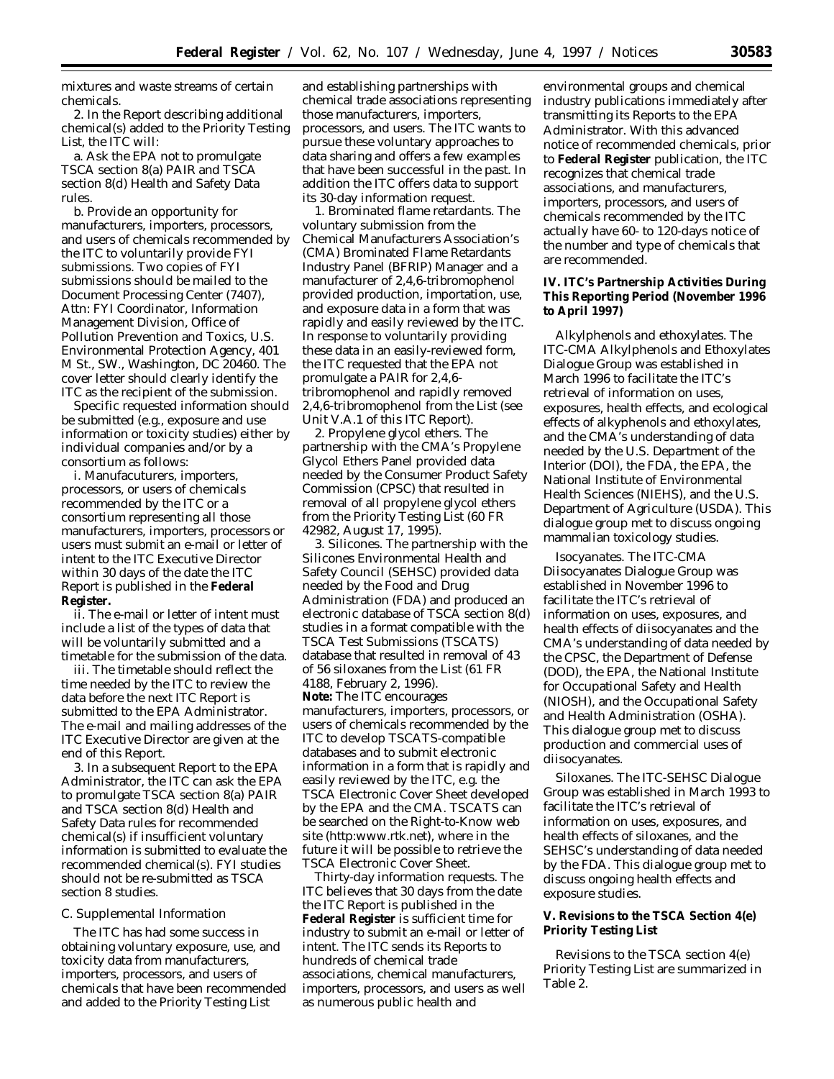mixtures and waste streams of certain chemicals.

2. In the Report describing additional chemical(s) added to the *Priority Testing List*, the ITC will:

a. Ask the EPA not to promulgate TSCA section 8(a) PAIR and TSCA section 8(d) Health and Safety Data rules.

b. Provide an opportunity for manufacturers, importers, processors, and users of chemicals recommended by the ITC to voluntarily provide FYI submissions. Two copies of FYI submissions should be mailed to the Document Processing Center (7407), Attn: FYI Coordinator, Information Management Division, Office of Pollution Prevention and Toxics, U.S. Environmental Protection Agency, 401 M St., SW., Washington, DC 20460. The cover letter should clearly identify the ITC as the recipient of the submission.

Specific requested information should be submitted (e.g., exposure and use information or toxicity studies) either by individual companies and/or by a consortium as follows:

i. Manufacuturers, importers, processors, or users of chemicals recommended by the ITC or a consortium representing all those manufacturers, importers, processors or users must submit an e-mail or letter of intent to the ITC Executive Director within 30 days of the date the ITC Report is published in the **Federal Register.**

ii. The e-mail or letter of intent must include a list of the types of data that will be voluntarily submitted and a timetable for the submission of the data.

iii. The timetable should reflect the time needed by the ITC to review the data before the next ITC Report is submitted to the EPA Administrator. The e-mail and mailing addresses of the ITC Executive Director are given at the end of this Report.

3. In a subsequent Report to the EPA Administrator, the ITC can ask the EPA to promulgate TSCA section 8(a) PAIR and TSCA section 8(d) Health and Safety Data rules for recommended chemical(s) if insufficient voluntary information is submitted to evaluate the recommended chemical(s). FYI studies should not be re-submitted as TSCA section 8 studies.

#### *C. Supplemental Information*

The ITC has had some success in obtaining voluntary exposure, use, and toxicity data from manufacturers, importers, processors, and users of chemicals that have been recommended and added to the *Priority Testing List*

and establishing partnerships with chemical trade associations representing those manufacturers, importers, processors, and users. The ITC wants to pursue these voluntary approaches to data sharing and offers a few examples that have been successful in the past. In addition the ITC offers data to support its 30-day information request.

1. *Brominated flame retardants.* The voluntary submission from the Chemical Manufacturers Association's (CMA) Brominated Flame Retardants Industry Panel (BFRIP) Manager and a manufacturer of 2,4,6-tribromophenol provided production, importation, use, and exposure data in a form that was rapidly and easily reviewed by the ITC. In response to voluntarily providing these data in an easily-reviewed form, the ITC requested that the EPA not promulgate a PAIR for 2,4,6 tribromophenol and rapidly removed 2,4,6-tribromophenol from the *List* (see Unit V.A.1 of this ITC Report).

2. *Propylene glycol ethers.* The partnership with the CMA's Propylene Glycol Ethers Panel provided data needed by the Consumer Product Safety Commission (CPSC) that resulted in removal of all propylene glycol ethers from the *Priority Testing List* (60 FR 42982, August 17, 1995).

3. *Silicones.* The partnership with the Silicones Environmental Health and Safety Council (SEHSC) provided data needed by the Food and Drug Administration (FDA) and produced an electronic database of TSCA section 8(d) studies in a format compatible with the TSCA Test Submissions (TSCATS) database that resulted in removal of 43 of 56 siloxanes from the List (61 FR 4188, February 2, 1996). **Note:** The ITC encourages manufacturers, importers, processors, or users of chemicals recommended by the ITC to develop TSCATS-compatible databases and to submit electronic information in a form that is rapidly and easily reviewed by the ITC, e.g. the TSCA Electronic Cover Sheet developed by the EPA and the CMA. TSCATS can be searched on the Right-to-Know web site (http:www.rtk.net), where in the future it will be possible to retrieve the TSCA Electronic Cover Sheet.

*Thirty-day information requests.* The ITC believes that 30 days from the date the ITC Report is published in the **Federal Register** is sufficient time for industry to submit an e-mail or letter of intent. The ITC sends its Reports to hundreds of chemical trade associations, chemical manufacturers, importers, processors, and users as well as numerous public health and

environmental groups and chemical industry publications immediately after transmitting its Reports to the EPA Administrator. With this advanced notice of recommended chemicals, prior to **Federal Register** publication, the ITC recognizes that chemical trade associations, and manufacturers, importers, processors, and users of chemicals recommended by the ITC actually have 60- to 120-days notice of the number and type of chemicals that are recommended.

# **IV. ITC's Partnership Activities During This Reporting Period (November 1996 to April 1997)**

*Alkylphenols and ethoxylates.* The ITC-CMA Alkylphenols and Ethoxylates Dialogue Group was established in March 1996 to facilitate the ITC's retrieval of information on uses, exposures, health effects, and ecological effects of alkyphenols and ethoxylates, and the CMA's understanding of data needed by the U.S. Department of the Interior (DOI), the FDA, the EPA, the National Institute of Environmental Health Sciences (NIEHS), and the U.S. Department of Agriculture (USDA). This dialogue group met to discuss ongoing mammalian toxicology studies.

*Isocyanates.* The ITC-CMA Diisocyanates Dialogue Group was established in November 1996 to facilitate the ITC's retrieval of information on uses, exposures, and health effects of diisocyanates and the CMA's understanding of data needed by the CPSC, the Department of Defense (DOD), the EPA, the National Institute for Occupational Safety and Health (NIOSH), and the Occupational Safety and Health Administration (OSHA). This dialogue group met to discuss production and commercial uses of diisocyanates.

*Siloxanes.* The ITC-SEHSC Dialogue Group was established in March 1993 to facilitate the ITC's retrieval of information on uses, exposures, and health effects of siloxanes, and the SEHSC's understanding of data needed by the FDA. This dialogue group met to discuss ongoing health effects and exposure studies.

## **V. Revisions to the TSCA Section 4(e) Priority Testing List**

Revisions to the TSCA section 4(e) *Priority Testing List* are summarized in Table 2.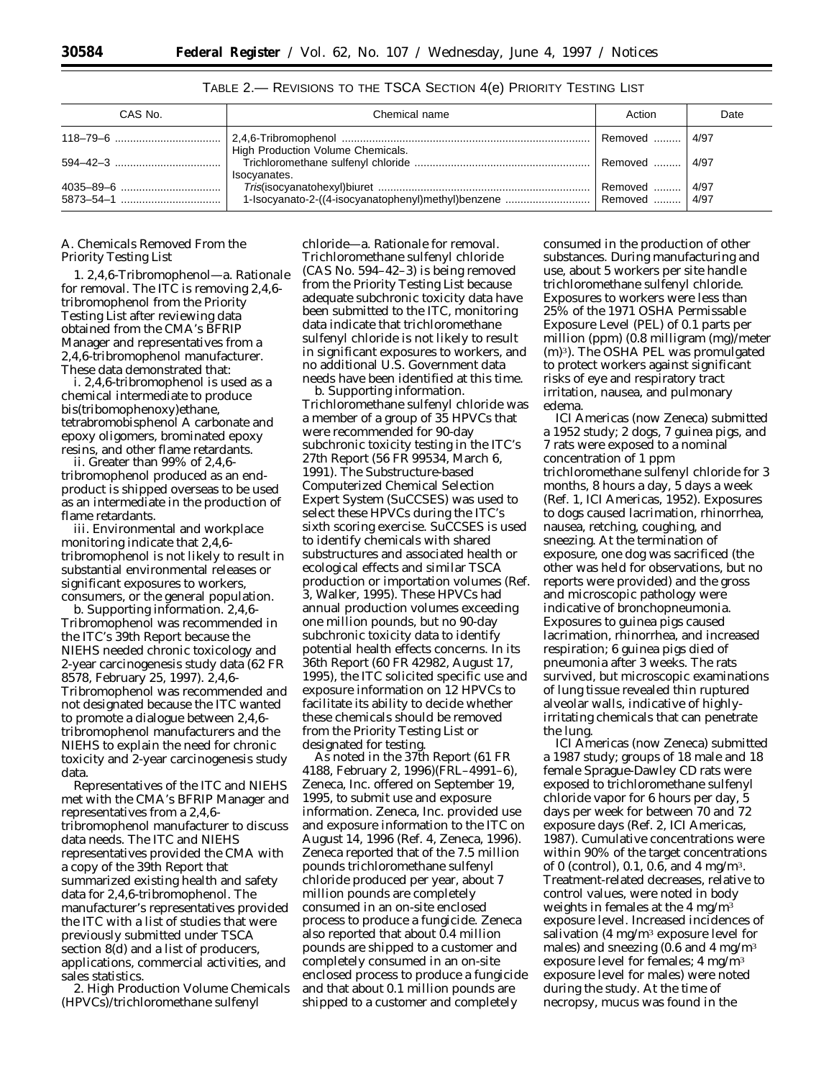| CAS No.              | Chemical name                                     | Action        | Date |
|----------------------|---------------------------------------------------|---------------|------|
|                      |                                                   | l Removed  l  | 4/97 |
| $594 - 42 - 3$ [160] | High Production Volume Chemicals.<br>Isocyanates. | Removed  4/97 |      |
|                      |                                                   |               | 4/97 |

TABLE 2.— REVISIONS TO THE TSCA SECTION 4(e) PRIORITY TESTING LIST

## *A. Chemicals Removed From the Priority Testing List*

1. *2,4,6-Tribromophenol*—a. *Rationale for removal.* The ITC is removing 2,4,6 tribromophenol from the *Priority Testing List* after reviewing data obtained from the CMA's BFRIP Manager and representatives from a 2,4,6-tribromophenol manufacturer. These data demonstrated that:

i. 2,4,6-tribromophenol is used as a chemical intermediate to produce bis(tribomophenoxy)ethane, tetrabromobisphenol A carbonate and epoxy oligomers, brominated epoxy resins, and other flame retardants.

ii. Greater than 99% of 2,4,6 tribromophenol produced as an endproduct is shipped overseas to be used as an intermediate in the production of flame retardants.

iii. Environmental and workplace monitoring indicate that 2,4,6 tribromophenol is not likely to result in substantial environmental releases or significant exposures to workers, consumers, or the general population.

b. *Supporting information.* 2,4,6- Tribromophenol was recommended in the ITC's 39th Report because the NIEHS needed chronic toxicology and 2-year carcinogenesis study data (62 FR 8578, February 25, 1997). 2,4,6- Tribromophenol was recommended and not designated because the ITC wanted to promote a dialogue between 2,4,6 tribromophenol manufacturers and the NIEHS to explain the need for chronic toxicity and 2-year carcinogenesis study data.

Representatives of the ITC and NIEHS met with the CMA's BFRIP Manager and representatives from a 2,4,6 tribromophenol manufacturer to discuss data needs. The ITC and NIEHS representatives provided the CMA with a copy of the 39th Report that summarized existing health and safety data for 2,4,6-tribromophenol. The manufacturer's representatives provided the ITC with a list of studies that were previously submitted under TSCA section 8(d) and a list of producers, applications, commercial activities, and sales statistics.

2. *High Production Volume Chemicals (HPVCs)/trichloromethane sulfenyl*

*chloride*—a. *Rationale for removal.* Trichloromethane sulfenyl chloride (CAS No. 594–42–3) is being removed from the *Priority Testing List* because adequate subchronic toxicity data have been submitted to the ITC, monitoring data indicate that trichloromethane sulfenyl chloride is not likely to result in significant exposures to workers, and no additional U.S. Government data needs have been identified at this time.

b. *Supporting information.* Trichloromethane sulfenyl chloride was a member of a group of 35 HPVCs that were recommended for 90-day subchronic toxicity testing in the ITC's 27th Report (56 FR 99534, March 6, 1991). The Substructure-based Computerized Chemical Selection Expert System (SuCCSES) was used to select these HPVCs during the ITC's sixth scoring exercise. SuCCSES is used to identify chemicals with shared substructures and associated health or ecological effects and similar TSCA production or importation volumes (Ref. 3, Walker, 1995). These HPVCs had annual production volumes exceeding one million pounds, but no 90-day subchronic toxicity data to identify potential health effects concerns. In its 36th Report (60 FR 42982, August 17, 1995), the ITC solicited specific use and exposure information on 12 HPVCs to facilitate its ability to decide whether these chemicals should be removed from the *Priority Testing List* or designated for testing.

As noted in the 37th Report (61 FR 4188, February 2, 1996)(FRL–4991–6), Zeneca, Inc. offered on September 19, 1995, to submit use and exposure information. Zeneca, Inc. provided use and exposure information to the ITC on August 14, 1996 (Ref. 4, Zeneca, 1996). Zeneca reported that of the 7.5 million pounds trichloromethane sulfenyl chloride produced per year, about 7 million pounds are completely consumed in an on-site enclosed process to produce a fungicide. Zeneca also reported that about 0.4 million pounds are shipped to a customer and completely consumed in an on-site enclosed process to produce a fungicide and that about 0.1 million pounds are shipped to a customer and completely

consumed in the production of other substances. During manufacturing and use, about 5 workers per site handle trichloromethane sulfenyl chloride. Exposures to workers were less than 25% of the 1971 OSHA Permissable Exposure Level (PEL) of 0.1 parts per million (ppm) (0.8 milligram (mg)/meter (m)3). The OSHA PEL was promulgated to protect workers against significant risks of eye and respiratory tract irritation, nausea, and pulmonary edema.

ICI Americas (now Zeneca) submitted a 1952 study; 2 dogs, 7 guinea pigs, and 7 rats were exposed to a nominal concentration of 1 ppm trichloromethane sulfenyl chloride for 3 months, 8 hours a day, 5 days a week (Ref. 1, ICI Americas, 1952). Exposures to dogs caused lacrimation, rhinorrhea, nausea, retching, coughing, and sneezing. At the termination of exposure, one dog was sacrificed (the other was held for observations, but no reports were provided) and the gross and microscopic pathology were indicative of bronchopneumonia. Exposures to guinea pigs caused lacrimation, rhinorrhea, and increased respiration; 6 guinea pigs died of pneumonia after 3 weeks. The rats survived, but microscopic examinations of lung tissue revealed thin ruptured alveolar walls, indicative of highlyirritating chemicals that can penetrate the lung.

ICI Americas (now Zeneca) submitted a 1987 study; groups of 18 male and 18 female Sprague-Dawley CD rats were exposed to trichloromethane sulfenyl chloride vapor for 6 hours per day, 5 days per week for between 70 and 72 exposure days (Ref. 2, ICI Americas, 1987). Cumulative concentrations were within 90% of the target concentrations of 0 (control), 0.1, 0.6, and 4 mg/m3. Treatment-related decreases, relative to control values, were noted in body weights in females at the  $4 \text{ mg/m}^3$ exposure level. Increased incidences of salivation (4 mg/m3 exposure level for males) and sneezing  $(0.6 \text{ and } 4 \text{ mg/m}^3)$ exposure level for females; 4 mg/m3 exposure level for males) were noted during the study. At the time of necropsy, mucus was found in the